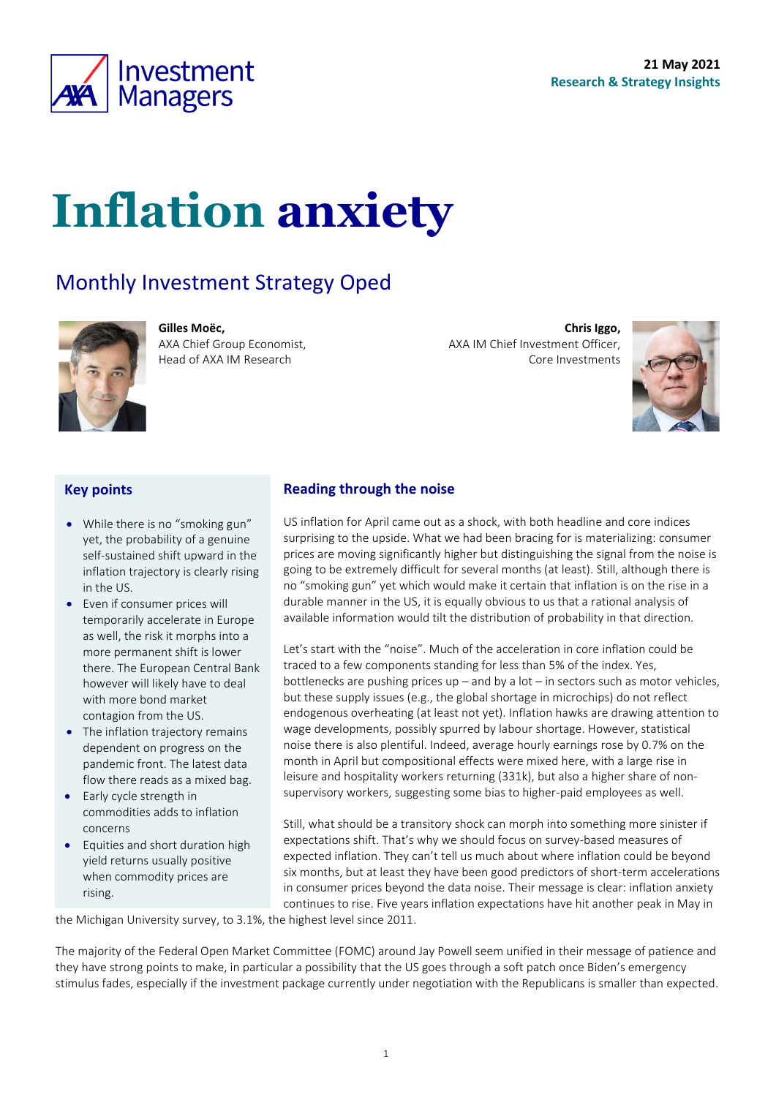

# **Inflation anxiety**

### Monthly Investment Strategy Oped



**Gilles Moëc,** AXA Chief Group Economist, Head of AXA IM Research

**Chris Iggo,**  AXA IM Chief Investment Officer, Core Investments

<span id="page-0-0"></span>

#### **Key points**

- While there is no "smoking gun" yet, the probability of a genuine self-sustained shift upward in the inflation trajectory is clearly rising in the US.
- Even if consumer prices will temporarily accelerate in Europe as well, the risk it morphs into a more permanent shift is lower there. The European Central Bank however will likely have to deal with more bond market contagion from the US.
- The inflation trajectory remains dependent on progress on the pandemic front. The latest data flow there reads as a mixed bag.
- Early cycle strength in commodities adds to inflation concerns
- Equities and short duration high yield returns usually positive when commodity prices are rising.

### **Reading through the noise**

US inflation for April came out as a shock, with both headline and core indices surprising to the upside. What we had been bracing for is materializing: consumer prices are moving significantly higher but distinguishing the signal from the noise is going to be extremely difficult for several months (at least). Still, although there is no "smoking gun" yet which would make it certain that inflation is on the rise in a durable manner in the US, it is equally obvious to us that a rational analysis of available information would tilt the distribution of probability in that direction.

Let's start with the "noise". Much of the acceleration in core inflation could be traced to a few components standing for less than 5% of the index. Yes, bottlenecks are pushing prices up – and by a lot – in sectors such as motor vehicles, but these supply issues (e.g., the global shortage in microchips) do not reflect endogenous overheating (at least not yet). Inflation hawks are drawing attention to wage developments, possibly spurred by labour shortage. However, statistical noise there is also plentiful. Indeed, average hourly earnings rose by 0.7% on the month in April but compositional effects were mixed here, with a large rise in leisure and hospitality workers returning (331k), but also a higher share of nonsupervisory workers, suggesting some bias to higher-paid employees as well.

Still, what should be a transitory shock can morph into something more sinister if expectations shift. That's why we should focus on survey-based measures of expected inflation. They can't tell us much about where inflation could be beyond six months, but at least they have been good predictors of short-term accelerations in consumer prices beyond the data noise. Their message is clear: inflation anxiety continues to rise. Five years inflation expectations have hit another peak in May in

the Michigan University survey, to 3.1%, the highest level since 2011.

The majority of the Federal Open Market Committee (FOMC) around Jay Powell seem unified in their message of patience and they have strong points to make, in particular a possibility that the US goes through a soft patch once Biden's emergency stimulus fades, especially if the investment package currently under negotiation with the Republicans is smaller than expected.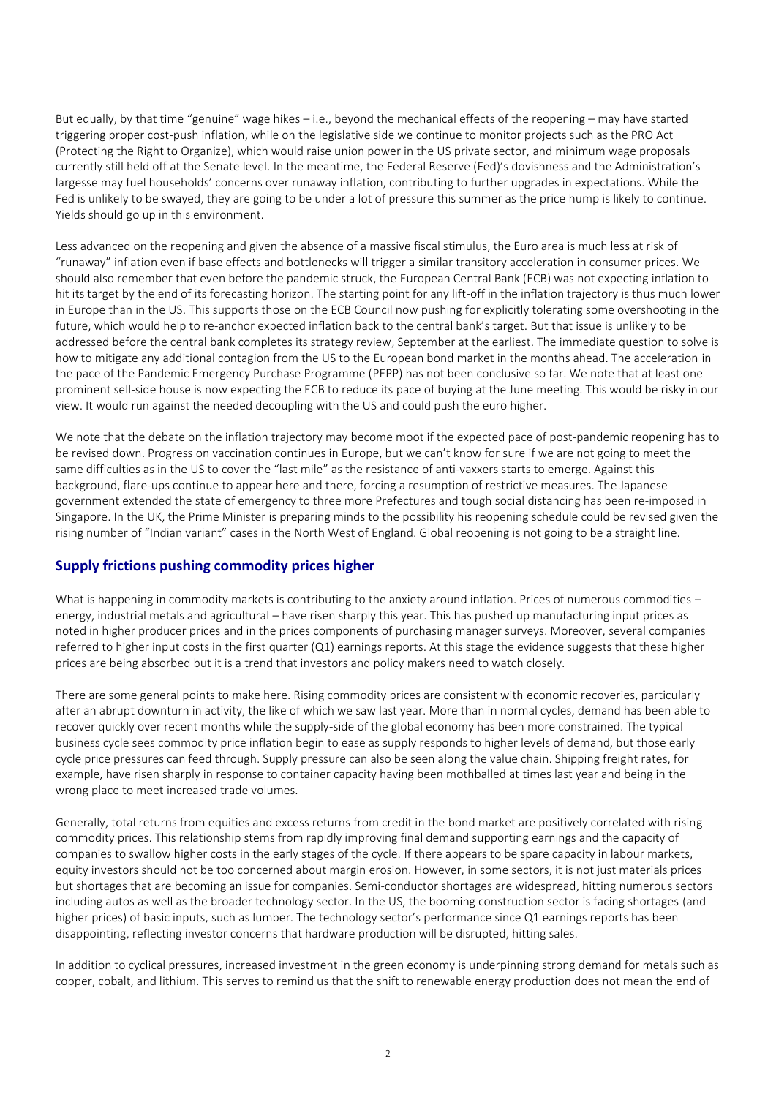But equally, by that time "genuine" wage hikes – i.e., beyond the mechanical effects of the reopening – may have started triggering proper cost-push inflation, while on the legislative side we continue to monitor projects such as the PRO Act (Protecting the Right to Organize), which would raise union power in the US private sector, and minimum wage proposals currently still held off at the Senate level. In the meantime, the Federal Reserve (Fed)'s dovishness and the Administration's largesse may fuel households' concerns over runaway inflation, contributing to further upgrades in expectations. While the Fed is unlikely to be swayed, they are going to be under a lot of pressure this summer as the price hump is likely to continue. Yields should go up in this environment.

Less advanced on the reopening and given the absence of a massive fiscal stimulus, the Euro area is much less at risk of "runaway" inflation even if base effects and bottlenecks will trigger a similar transitory acceleration in consumer prices. We should also remember that even before the pandemic struck, the European Central Bank (ECB) was not expecting inflation to hit its target by the end of its forecasting horizon. The starting point for any lift-off in the inflation trajectory is thus much lower in Europe than in the US. This supports those on the ECB Council now pushing for explicitly tolerating some overshooting in the future, which would help to re-anchor expected inflation back to the central bank's target. But that issue is unlikely to be addressed before the central bank completes its strategy review, September at the earliest. The immediate question to solve is how to mitigate any additional contagion from the US to the European bond market in the months ahead. The acceleration in the pace of the Pandemic Emergency Purchase Programme (PEPP) has not been conclusive so far. We note that at least one prominent sell-side house is now expecting the ECB to reduce its pace of buying at the June meeting. This would be risky in our view. It would run against the needed decoupling with the US and could push the euro higher.

We note that the debate on the inflation trajectory may become moot if the expected pace of post-pandemic reopening has to be revised down. Progress on vaccination continues in Europe, but we can't know for sure if we are not going to meet the same difficulties as in the US to cover the "last mile" as the resistance of anti-vaxxers starts to emerge. Against this background, flare-ups continue to appear here and there, forcing a resumption of restrictive measures. The Japanese government extended the state of emergency to three more Prefectures and tough social distancing has been re-imposed in Singapore. In the UK, the Prime Minister is preparing minds to the possibility his reopening schedule could be revised given the rising number of "Indian variant" cases in the North West of England. Global reopening is not going to be a straight line.

#### **Supply frictions pushing commodity prices higher**

What is happening in commodity markets is contributing to the anxiety around inflation. Prices of numerous commodities – energy, industrial metals and agricultural – have risen sharply this year. This has pushed up manufacturing input prices as noted in higher producer prices and in the prices components of purchasing manager surveys. Moreover, several companies referred to higher input costs in the first quarter (Q1) earnings reports. At this stage the evidence suggests that these higher prices are being absorbed but it is a trend that investors and policy makers need to watch closely.

There are some general points to make here. Rising commodity prices are consistent with economic recoveries, particularly after an abrupt downturn in activity, the like of which we saw last year. More than in normal cycles, demand has been able to recover quickly over recent months while the supply-side of the global economy has been more constrained. The typical business cycle sees commodity price inflation begin to ease as supply responds to higher levels of demand, but those early cycle price pressures can feed through. Supply pressure can also be seen along the value chain. Shipping freight rates, for example, have risen sharply in response to container capacity having been mothballed at times last year and being in the wrong place to meet increased trade volumes.

Generally, total returns from equities and excess returns from credit in the bond market are positively correlated with rising commodity prices. This relationship stems from rapidly improving final demand supporting earnings and the capacity of companies to swallow higher costs in the early stages of the cycle. If there appears to be spare capacity in labour markets, equity investors should not be too concerned about margin erosion. However, in some sectors, it is not just materials prices but shortages that are becoming an issue for companies. Semi-conductor shortages are widespread, hitting numerous sectors including autos as well as the broader technology sector. In the US, the booming construction sector is facing shortages (and higher prices) of basic inputs, such as lumber. The technology sector's performance since Q1 earnings reports has been disappointing, reflecting investor concerns that hardware production will be disrupted, hitting sales.

In addition to cyclical pressures, increased investment in the green economy is underpinning strong demand for metals such as copper, cobalt, and lithium. This serves to remind us that the shift to renewable energy production does not mean the end of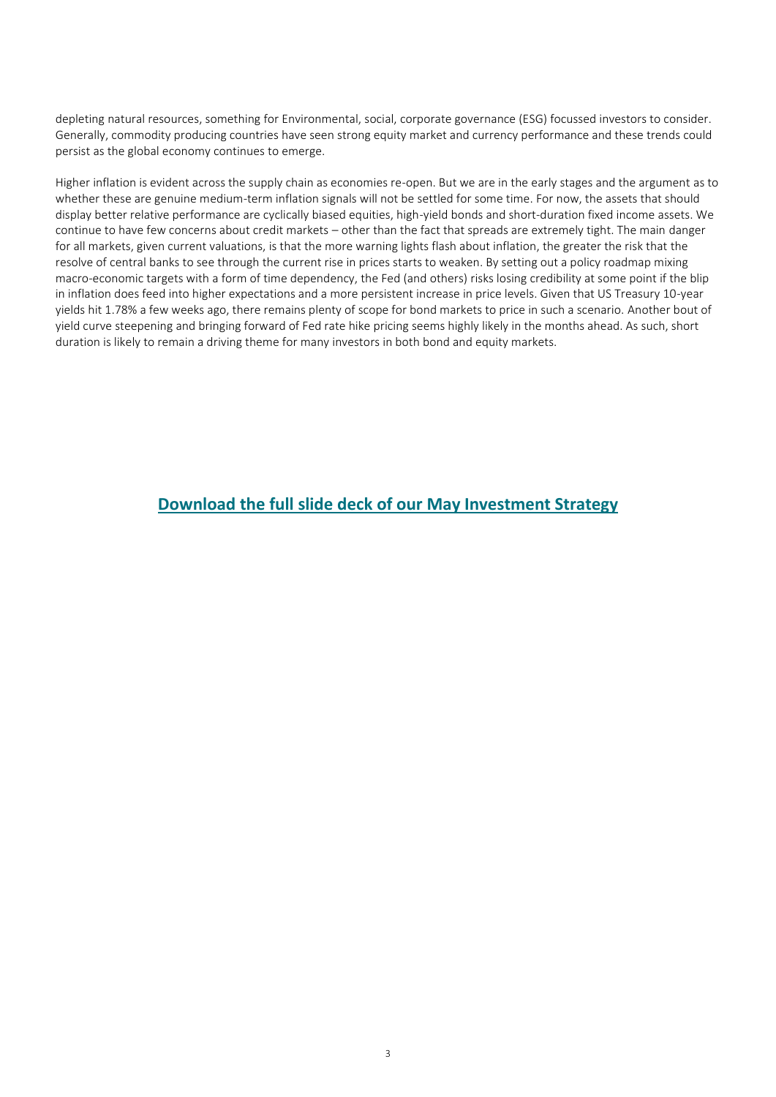depleting natural resources, something for Environmental, social, corporate governance (ESG) focussed investors to consider. Generally, commodity producing countries have seen strong equity market and currency performance and these trends could persist as the global economy continues to emerge.

Higher inflation is evident across the supply chain as economies re-open. But we are in the early stages and the argument as to whether these are genuine medium-term inflation signals will not be settled for some time. For now, the assets that should display better relative performance are cyclically biased equities, high-yield bonds and short-duration fixed income assets. We continue to have few concerns about credit markets – other than the fact that spreads are extremely tight. The main danger for all markets, given current valuations, is that the more warning lights flash about inflation, the greater the risk that the resolve of central banks to see through the current rise in prices starts to weaken. By setting out a policy roadmap mixing macro-economic targets with a form of time dependency, the Fed (and others) risks losing credibility at some point if the blip in inflation does feed into higher expectations and a more persistent increase in price levels. Given that US Treasury 10-year yields hit 1.78% a few weeks ago, there remains plenty of scope for bond markets to price in such a scenario. Another bout of yield curve steepening and bringing forward of Fed rate hike pricing seems highly likely in the months ahead. As such, short duration is likely to remain a driving theme for many investors in both bond and equity markets.

### **[Download the full slide deck of our May](https://www.axa-im.com/documents/20195/694460/Monthly+Investment+Strategy+Presentation+20210521+en.pdf/71482ac1-c83c-633d-d5cc-86749f1bd7b4?t=1621584582998) Investment Strategy**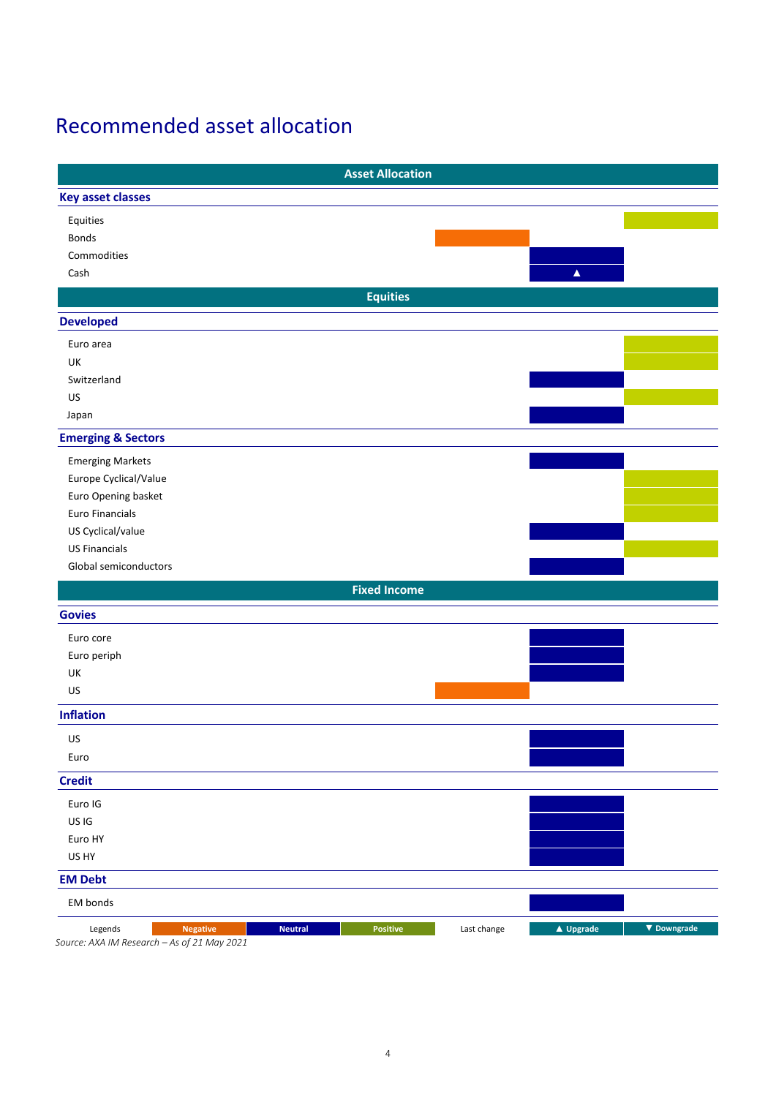### Recommended asset allocation

|                                             |                | <b>Asset Allocation</b> |             |                  |             |
|---------------------------------------------|----------------|-------------------------|-------------|------------------|-------------|
| <b>Key asset classes</b>                    |                |                         |             |                  |             |
| Equities                                    |                |                         |             |                  |             |
| Bonds                                       |                |                         |             |                  |             |
| Commodities                                 |                |                         |             |                  |             |
| Cash                                        |                |                         |             | $\blacktriangle$ |             |
|                                             |                | <b>Equities</b>         |             |                  |             |
| <b>Developed</b>                            |                |                         |             |                  |             |
| Euro area                                   |                |                         |             |                  |             |
| UK                                          |                |                         |             |                  |             |
| Switzerland                                 |                |                         |             |                  |             |
| US                                          |                |                         |             |                  |             |
| Japan                                       |                |                         |             |                  |             |
| <b>Emerging &amp; Sectors</b>               |                |                         |             |                  |             |
| <b>Emerging Markets</b>                     |                |                         |             |                  |             |
| Europe Cyclical/Value                       |                |                         |             |                  |             |
| Euro Opening basket                         |                |                         |             |                  |             |
| <b>Euro Financials</b>                      |                |                         |             |                  |             |
| US Cyclical/value                           |                |                         |             |                  |             |
| <b>US Financials</b>                        |                |                         |             |                  |             |
| Global semiconductors                       |                |                         |             |                  |             |
|                                             |                | <b>Fixed Income</b>     |             |                  |             |
| <b>Govies</b>                               |                |                         |             |                  |             |
| Euro core                                   |                |                         |             |                  |             |
| Euro periph                                 |                |                         |             |                  |             |
| UK                                          |                |                         |             |                  |             |
| US                                          |                |                         |             |                  |             |
| <b>Inflation</b>                            |                |                         |             |                  |             |
| US                                          |                |                         |             |                  |             |
| Euro                                        |                |                         |             |                  |             |
| <b>Credit</b>                               |                |                         |             |                  |             |
| Euro IG                                     |                |                         |             |                  |             |
| US IG                                       |                |                         |             |                  |             |
| Euro HY                                     |                |                         |             |                  |             |
| US HY                                       |                |                         |             |                  |             |
| <b>EM Debt</b>                              |                |                         |             |                  |             |
| EM bonds                                    |                |                         |             |                  |             |
| <b>Negative</b><br>Legends                  | <b>Neutral</b> | Positive                | Last change | ▲ Upgrade        | ▼ Downgrade |
| Source: AXA IM Research - As of 21 May 2021 |                |                         |             |                  |             |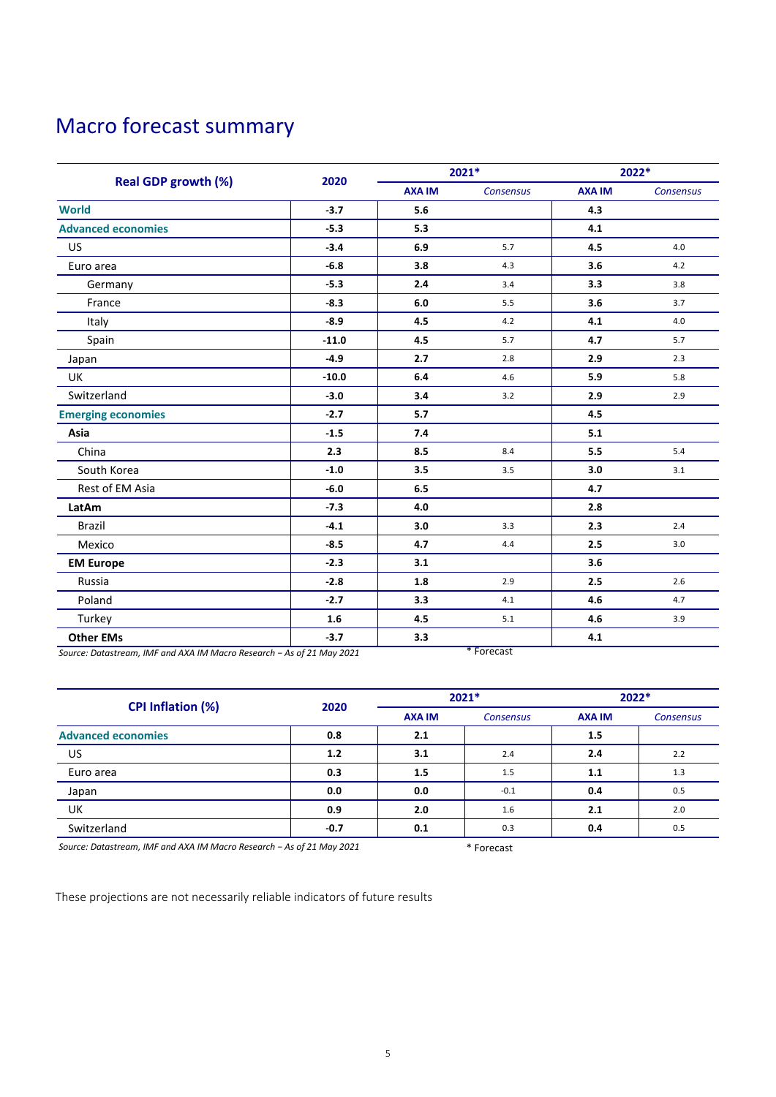### Macro forecast summary

|                            | 2020    | 2021*         |           | 2022*         |           |
|----------------------------|---------|---------------|-----------|---------------|-----------|
| <b>Real GDP growth (%)</b> |         | <b>AXA IM</b> | Consensus | <b>AXA IM</b> | Consensus |
| <b>World</b>               | $-3.7$  | 5.6           |           | 4.3           |           |
| <b>Advanced economies</b>  | $-5.3$  | 5.3           |           | 4.1           |           |
| US                         | $-3.4$  | 6.9           | 5.7       | 4.5           | 4.0       |
| Euro area                  | $-6.8$  | 3.8           | 4.3       | 3.6           | 4.2       |
| Germany                    | $-5.3$  | 2.4           | 3.4       | 3.3           | 3.8       |
| France                     | $-8.3$  | 6.0           | 5.5       | 3.6           | 3.7       |
| Italy                      | $-8.9$  | 4.5           | 4.2       | 4.1           | 4.0       |
| Spain                      | $-11.0$ | 4.5           | 5.7       | 4.7           | 5.7       |
| Japan                      | $-4.9$  | 2.7           | 2.8       | 2.9           | 2.3       |
| UK                         | $-10.0$ | 6.4           | 4.6       | 5.9           | 5.8       |
| Switzerland                | $-3.0$  | 3.4           | 3.2       | 2.9           | 2.9       |
| <b>Emerging economies</b>  | $-2.7$  | 5.7           |           | 4.5           |           |
| Asia                       | $-1.5$  | 7.4           |           | 5.1           |           |
| China                      | 2.3     | 8.5           | 8.4       | 5.5           | 5.4       |
| South Korea                | $-1.0$  | 3.5           | 3.5       | 3.0           | 3.1       |
| Rest of EM Asia            | $-6.0$  | 6.5           |           | 4.7           |           |
| LatAm                      | $-7.3$  | 4.0           |           | 2.8           |           |
| <b>Brazil</b>              | $-4.1$  | 3.0           | 3.3       | 2.3           | 2.4       |
| Mexico                     | $-8.5$  | 4.7           | 4.4       | 2.5           | 3.0       |
| <b>EM Europe</b>           | $-2.3$  | 3.1           |           | 3.6           |           |
| Russia                     | $-2.8$  | 1.8           | 2.9       | 2.5           | 2.6       |
| Poland                     | $-2.7$  | 3.3           | 4.1       | 4.6           | 4.7       |
| Turkey                     | 1.6     | 4.5           | 5.1       | 4.6           | 3.9       |
| <b>Other EMs</b>           | $-3.7$  | 3.3           |           | 4.1           |           |

*Source: Datastream, IMF and AXA IM Macro Research − As of 21 May 2021* \* Forecast

|                           |        | $2021*$       |                  | 2022*         |                  |
|---------------------------|--------|---------------|------------------|---------------|------------------|
| <b>CPI Inflation (%)</b>  | 2020   | <b>AXA IM</b> | <b>Consensus</b> | <b>AXA IM</b> | <b>Consensus</b> |
| <b>Advanced economies</b> | 0.8    | 2.1           |                  | 1.5           |                  |
| US                        | 1.2    | 3.1           | 2.4              | 2.4           | 2.2              |
| Euro area                 | 0.3    | 1.5           | 1.5              | 1.1           | 1.3              |
| Japan                     | 0.0    | 0.0           | $-0.1$           | 0.4           | 0.5              |
| UK                        | 0.9    | 2.0           | 1.6              | 2.1           | 2.0              |
| Switzerland               | $-0.7$ | 0.1           | 0.3              | 0.4           | 0.5              |

*Source: Datastream, IMF and AXA IM Macro Research − As of 21 May 2021* \* Forecast

These projections are not necessarily reliable indicators of future results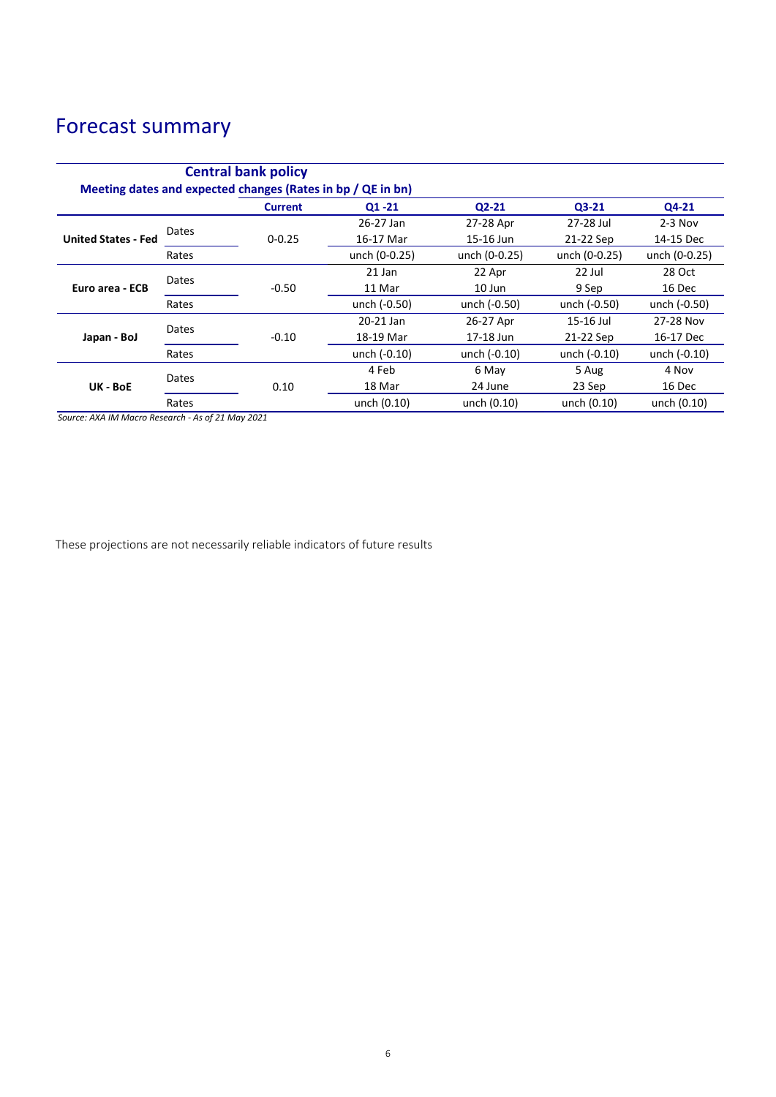## Forecast summary

| <b>Central bank policy</b><br>Meeting dates and expected changes (Rates in bp / QE in bn) |       |                |               |               |               |               |
|-------------------------------------------------------------------------------------------|-------|----------------|---------------|---------------|---------------|---------------|
|                                                                                           |       | <b>Current</b> | $Q1 - 21$     | $Q2-21$       | $Q3-21$       | $Q4-21$       |
| <b>United States - Fed</b>                                                                | Dates |                | 26-27 Jan     | 27-28 Apr     | 27-28 Jul     | $2-3$ Nov     |
|                                                                                           |       | $0 - 0.25$     | 16-17 Mar     | 15-16 Jun     | 21-22 Sep     | 14-15 Dec     |
|                                                                                           | Rates |                | unch (0-0.25) | unch (0-0.25) | unch (0-0.25) | unch (0-0.25) |
| Euro area - ECB                                                                           | Dates |                | 21 Jan        | 22 Apr        | 22 Jul        | 28 Oct        |
|                                                                                           |       | $-0.50$        | 11 Mar        | 10 Jun        | 9 Sep         | 16 Dec        |
|                                                                                           | Rates |                | unch (-0.50)  | unch (-0.50)  | unch (-0.50)  | unch (-0.50)  |
| Japan - BoJ                                                                               | Dates |                | 20-21 Jan     | 26-27 Apr     | 15-16 Jul     | 27-28 Nov     |
|                                                                                           |       | $-0.10$        | 18-19 Mar     | 17-18 Jun     | 21-22 Sep     | 16-17 Dec     |
|                                                                                           | Rates |                | unch (-0.10)  | unch (-0.10)  | unch (-0.10)  | unch (-0.10)  |
| UK - BoE                                                                                  | Dates |                | 4 Feb         | 6 May         | 5 Aug         | 4 Nov         |
|                                                                                           |       | 0.10           | 18 Mar        | 24 June       | 23 Sep        | 16 Dec        |
|                                                                                           | Rates |                | unch (0.10)   | unch (0.10)   | unch (0.10)   | unch (0.10)   |

*Source: AXA IM Macro Research - As of 21 May 2021*

These projections are not necessarily reliable indicators of future results